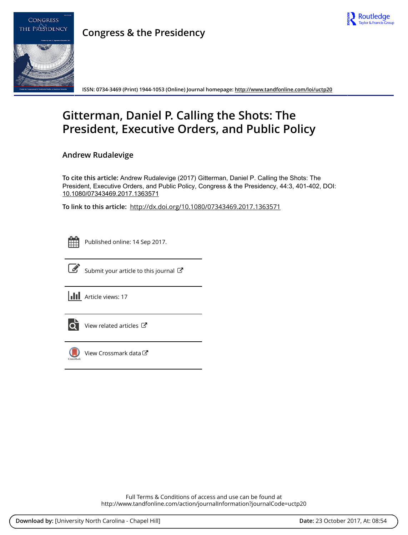



**Congress & the Presidency**

**ISSN: 0734-3469 (Print) 1944-1053 (Online) Journal homepage:<http://www.tandfonline.com/loi/uctp20>**

## **Gitterman, Daniel P. Calling the Shots: The President, Executive Orders, and Public Policy**

**Andrew Rudalevige**

**To cite this article:** Andrew Rudalevige (2017) Gitterman, Daniel P. Calling the Shots: The President, Executive Orders, and Public Policy, Congress & the Presidency, 44:3, 401-402, DOI: [10.1080/07343469.2017.1363571](http://www.tandfonline.com/action/showCitFormats?doi=10.1080/07343469.2017.1363571)

**To link to this article:** <http://dx.doi.org/10.1080/07343469.2017.1363571>

|  | --<br>_ |  |
|--|---------|--|
|  |         |  |
|  |         |  |
|  |         |  |

Published online: 14 Sep 2017.



 $\overrightarrow{S}$  [Submit your article to this journal](http://www.tandfonline.com/action/authorSubmission?journalCode=uctp20&show=instructions)  $\overrightarrow{S}$ 

**III** Article views: 17



 $\overline{Q}$  [View related articles](http://www.tandfonline.com/doi/mlt/10.1080/07343469.2017.1363571)  $\overline{C}$ 



 $\bigcirc$  [View Crossmark data](http://crossmark.crossref.org/dialog/?doi=10.1080/07343469.2017.1363571&domain=pdf&date_stamp=2017-09-14) $\mathbb{Z}$ 

Full Terms & Conditions of access and use can be found at <http://www.tandfonline.com/action/journalInformation?journalCode=uctp20>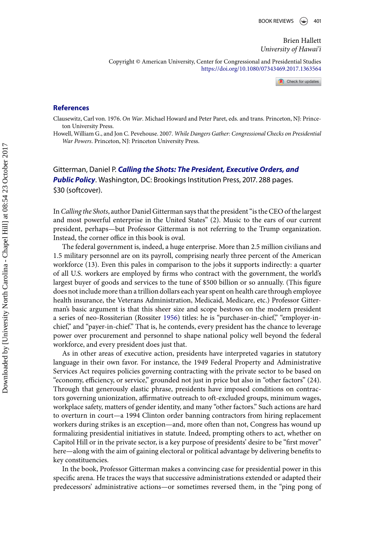Brien Hallett *University of Hawai'i*

Copyright © American University, Center for Congressional and Presidential Studies <https://doi.org/10.1080/07343469.2017.1363564>

Check for updates

## **References**

Clausewitz, Carl von. 1976. *On War*. Michael Howard and Peter Paret, eds. and trans. Princeton, NJ: Princeton University Press.

Howell, William G., and Jon C. Pevehouse. 2007. *While Dangers Gather: Congressional Checks on Presidential War Powers*. Princeton, NJ: Princeton University Press.

Gitterman, Daniel P. *Calling the Shots: The President, Executive Orders, and Public Policy*. Washington, DC: Brookings Institution Press, 2017. 288 pages. \$30 (softcover).

In*Calling the Shots*, author Daniel Gitterman says that the president "is the CEO of the largest and most powerful enterprise in the United States" (2). Music to the ears of our current president, perhaps—but Professor Gitterman is not referring to the Trump organization. Instead, the corner office in this book is oval.

The federal government is, indeed, a huge enterprise. More than 2.5 million civilians and 1.5 military personnel are on its payroll, comprising nearly three percent of the American workforce (13). Even this pales in comparison to the jobs it supports indirectly: a quarter of all U.S. workers are employed by firms who contract with the government, the world's largest buyer of goods and services to the tune of \$500 billion or so annually. (This figure does not include more than a trillion dollars each year spent on health care through employee health insurance, the Veterans Administration, Medicaid, Medicare, etc.) Professor Gitterman's basic argument is that this sheer size and scope bestows on the modern president a series of neo-Rossiterian (Rossiter 1956) titles: he is "purchaser-in-chief," "employer-inchief," and "payer-in-chief." That is, he contends, every president has the chance to leverage power over procurement and personnel to shape national policy well beyond the federal workforce, and every president does just that.

As in other areas of executive action, presidents have interpreted vagaries in statutory language in their own favor. For instance, the 1949 Federal Property and Administrative Services Act requires policies governing contracting with the private sector to be based on "economy, efficiency, or service," grounded not just in price but also in "other factors" (24). Through that generously elastic phrase, presidents have imposed conditions on contractors governing unionization, affirmative outreach to oft-excluded groups, minimum wages, workplace safety, matters of gender identity, and many "other factors." Such actions are hard to overturn in court—a 1994 Clinton order banning contractors from hiring replacement workers during strikes is an exception—and, more often than not, Congress has wound up formalizing presidential initiatives in statute. Indeed, prompting others to act, whether on Capitol Hill or in the private sector, is a key purpose of presidents' desire to be "first mover" here—along with the aim of gaining electoral or political advantage by delivering benefits to key constituencies.

In the book, Professor Gitterman makes a convincing case for presidential power in this specific arena. He traces the ways that successive administrations extended or adapted their predecessors' administrative actions—or sometimes reversed them, in the "ping pong of